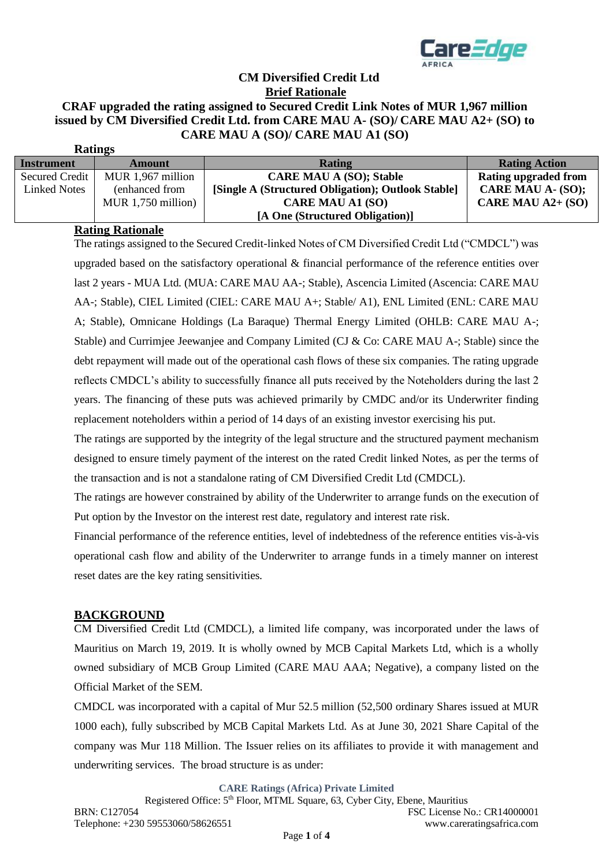

# **CM Diversified Credit Ltd Brief Rationale CRAF upgraded the rating assigned to Secured Credit Link Notes of MUR 1,967 million issued by CM Diversified Credit Ltd. from CARE MAU A- (SO)/ CARE MAU A2+ (SO) to CARE MAU A (SO)/ CARE MAU A1 (SO)**

| <b>Katings</b>      |                      |                                                    |                      |
|---------------------|----------------------|----------------------------------------------------|----------------------|
| <b>Instrument</b>   | <b>Amount</b>        | Rating                                             | <b>Rating Action</b> |
| Secured Credit      | MUR 1,967 million    | <b>CARE MAU A (SO); Stable</b>                     | Rating upgraded from |
| <b>Linked Notes</b> | (enhanced from       | [Single A (Structured Obligation); Outlook Stable] | CARE MAU A- (SO);    |
|                     | MUR $1,750$ million) | <b>CARE MAU A1 (SO)</b>                            | CARE MAU $A2+$ (SO)  |
|                     |                      | [A One (Structured Obligation)]                    |                      |

## **Rating Rationale**

**Ratings**

The ratings assigned to the Secured Credit-linked Notes of CM Diversified Credit Ltd ("CMDCL") was upgraded based on the satisfactory operational & financial performance of the reference entities over last 2 years - MUA Ltd. (MUA: CARE MAU AA-; Stable), Ascencia Limited (Ascencia: CARE MAU AA-; Stable), CIEL Limited (CIEL: CARE MAU A+; Stable/ A1), ENL Limited (ENL: CARE MAU A; Stable), Omnicane Holdings (La Baraque) Thermal Energy Limited (OHLB: CARE MAU A-; Stable) and Currimjee Jeewanjee and Company Limited (CJ & Co: CARE MAU A-; Stable) since the debt repayment will made out of the operational cash flows of these six companies. The rating upgrade reflects CMDCL's ability to successfully finance all puts received by the Noteholders during the last 2 years. The financing of these puts was achieved primarily by CMDC and/or its Underwriter finding replacement noteholders within a period of 14 days of an existing investor exercising his put.

The ratings are supported by the integrity of the legal structure and the structured payment mechanism designed to ensure timely payment of the interest on the rated Credit linked Notes, as per the terms of the transaction and is not a standalone rating of CM Diversified Credit Ltd (CMDCL).

The ratings are however constrained by ability of the Underwriter to arrange funds on the execution of Put option by the Investor on the interest rest date, regulatory and interest rate risk.

Financial performance of the reference entities, level of indebtedness of the reference entities vis-à-vis operational cash flow and ability of the Underwriter to arrange funds in a timely manner on interest reset dates are the key rating sensitivities.

## **BACKGROUND**

CM Diversified Credit Ltd (CMDCL), a limited life company, was incorporated under the laws of Mauritius on March 19, 2019. It is wholly owned by MCB Capital Markets Ltd, which is a wholly owned subsidiary of MCB Group Limited (CARE MAU AAA; Negative), a company listed on the Official Market of the SEM.

CMDCL was incorporated with a capital of Mur 52.5 million (52,500 ordinary Shares issued at MUR 1000 each), fully subscribed by MCB Capital Markets Ltd. As at June 30, 2021 Share Capital of the company was Mur 118 Million. The Issuer relies on its affiliates to provide it with management and underwriting services. The broad structure is as under:

**CARE Ratings (Africa) Private Limited**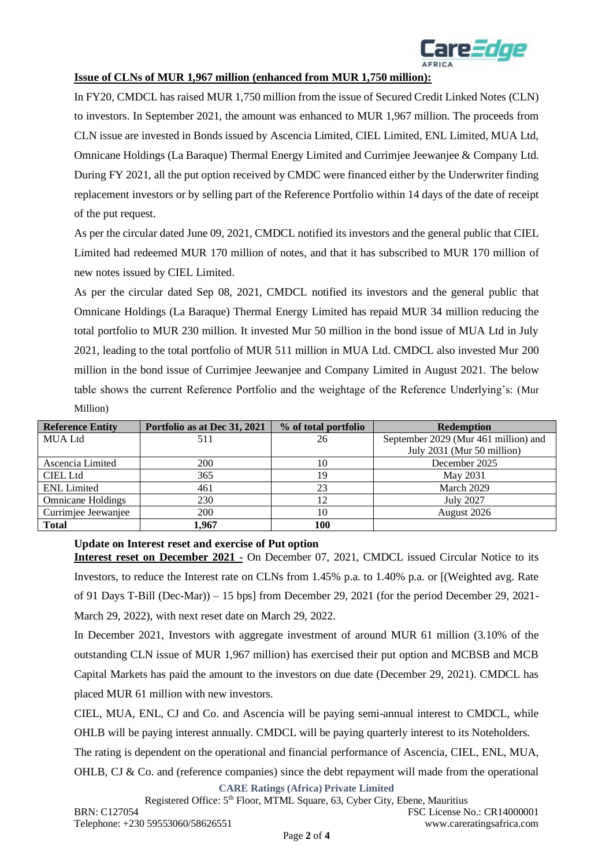

#### **Issue of CLNs of MUR 1,967 million (enhanced from MUR 1,750 million):**

In FY20, CMDCL has raised MUR 1,750 million from the issue of Secured Credit Linked Notes (CLN) to investors. In September 2021, the amount was enhanced to MUR 1,967 million. The proceeds from CLN issue are invested in Bonds issued by Ascencia Limited, CIEL Limited, ENL Limited, MUA Ltd, Omnicane Holdings (La Baraque) Thermal Energy Limited and Currimjee Jeewanjee & Company Ltd. During FY 2021, all the put option received by CMDC were financed either by the Underwriter finding replacement investors or by selling part of the Reference Portfolio within 14 days of the date of receipt of the put request.

As per the circular dated June 09, 2021, CMDCL notified its investors and the general public that CIEL Limited had redeemed MUR 170 million of notes, and that it has subscribed to MUR 170 million of new notes issued by CIEL Limited.

As per the circular dated Sep 08, 2021, CMDCL notified its investors and the general public that Omnicane Holdings (La Baraque) Thermal Energy Limited has repaid MUR 34 million reducing the total portfolio to MUR 230 million. It invested Mur 50 million in the bond issue of MUA Ltd in July 2021, leading to the total portfolio of MUR 511 million in MUA Ltd. CMDCL also invested Mur 200 million in the bond issue of Currimjee Jeewanjee and Company Limited in August 2021. The below table shows the current Reference Portfolio and the weightage of the Reference Underlying's: (Mur Million)

| <b>Reference Entity</b>  | Portfolio as at Dec 31, 2021 | % of total portfolio | <b>Redemption</b>                    |
|--------------------------|------------------------------|----------------------|--------------------------------------|
| <b>MUA Ltd</b>           | 511                          | 26                   | September 2029 (Mur 461 million) and |
|                          |                              |                      | July 2031 (Mur 50 million)           |
| Ascencia Limited         | 200                          | 10                   | December 2025                        |
| CIEL Ltd                 | 365                          | 19                   | May 2031                             |
| <b>ENL</b> Limited       | 461                          | 23                   | March 2029                           |
| <b>Omnicane Holdings</b> | 230                          | 12                   | <b>July 2027</b>                     |
| Currimjee Jeewanjee      | 200                          | 10                   | August 2026                          |
| <b>Total</b>             | 1.967                        | 100                  |                                      |

# **Update on Interest reset and exercise of Put option**

**Interest reset on December 2021 -** On December 07, 2021, CMDCL issued Circular Notice to its Investors, to reduce the Interest rate on CLNs from 1.45% p.a. to 1.40% p.a. or [(Weighted avg. Rate of 91 Days T-Bill (Dec-Mar)) – 15 bps] from December 29, 2021 (for the period December 29, 2021- March 29, 2022), with next reset date on March 29, 2022.

In December 2021, Investors with aggregate investment of around MUR 61 million (3.10% of the outstanding CLN issue of MUR 1,967 million) has exercised their put option and MCBSB and MCB Capital Markets has paid the amount to the investors on due date (December 29, 2021). CMDCL has placed MUR 61 million with new investors.

CIEL, MUA, ENL, CJ and Co. and Ascencia will be paying semi-annual interest to CMDCL, while OHLB will be paying interest annually. CMDCL will be paying quarterly interest to its Noteholders.

The rating is dependent on the operational and financial performance of Ascencia, CIEL, ENL, MUA,

**CARE Ratings (Africa) Private Limited** OHLB, CJ & Co. and (reference companies) since the debt repayment will made from the operational

Registered Office: 5th Floor, MTML Square, 63, Cyber City, Ebene, Mauritius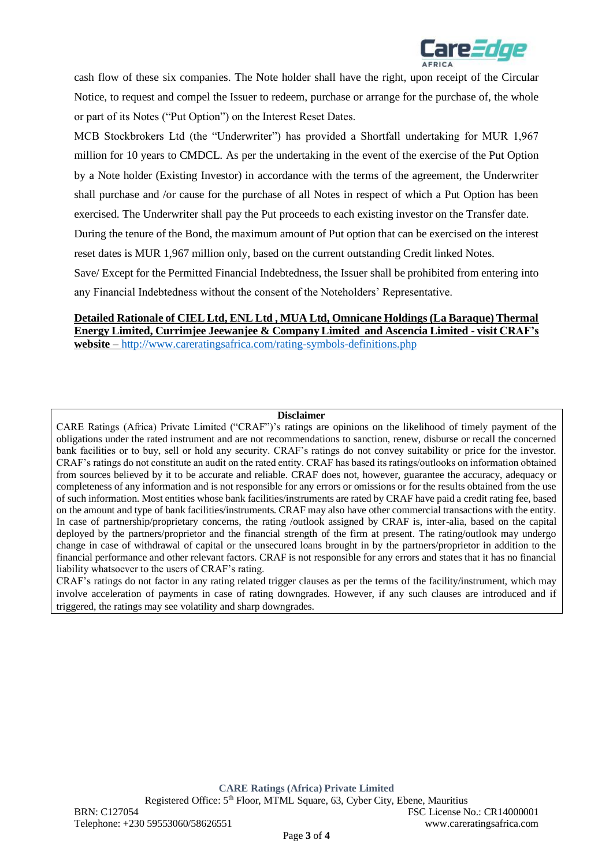

cash flow of these six companies. The Note holder shall have the right, upon receipt of the Circular Notice, to request and compel the Issuer to redeem, purchase or arrange for the purchase of, the whole or part of its Notes ("Put Option") on the Interest Reset Dates.

MCB Stockbrokers Ltd (the "Underwriter") has provided a Shortfall undertaking for MUR 1,967 million for 10 years to CMDCL. As per the undertaking in the event of the exercise of the Put Option by a Note holder (Existing Investor) in accordance with the terms of the agreement, the Underwriter shall purchase and /or cause for the purchase of all Notes in respect of which a Put Option has been

exercised. The Underwriter shall pay the Put proceeds to each existing investor on the Transfer date.

During the tenure of the Bond, the maximum amount of Put option that can be exercised on the interest

reset dates is MUR 1,967 million only, based on the current outstanding Credit linked Notes.

Save/ Except for the Permitted Financial Indebtedness, the Issuer shall be prohibited from entering into any Financial Indebtedness without the consent of the Noteholders' Representative.

## **Detailed Rationale of CIEL Ltd, ENL Ltd , MUA Ltd, Omnicane Holdings (La Baraque) Thermal Energy Limited, Currimjee Jeewanjee & Company Limited and Ascencia Limited - visit CRAF's website –** <http://www.careratingsafrica.com/rating-symbols-definitions.php>

#### **Disclaimer**

CARE Ratings (Africa) Private Limited ("CRAF")'s ratings are opinions on the likelihood of timely payment of the obligations under the rated instrument and are not recommendations to sanction, renew, disburse or recall the concerned bank facilities or to buy, sell or hold any security. CRAF's ratings do not convey suitability or price for the investor. CRAF's ratings do not constitute an audit on the rated entity. CRAF has based its ratings/outlooks on information obtained from sources believed by it to be accurate and reliable. CRAF does not, however, guarantee the accuracy, adequacy or completeness of any information and is not responsible for any errors or omissions or for the results obtained from the use of such information. Most entities whose bank facilities/instruments are rated by CRAF have paid a credit rating fee, based on the amount and type of bank facilities/instruments. CRAF may also have other commercial transactions with the entity. In case of partnership/proprietary concerns, the rating /outlook assigned by CRAF is, inter-alia, based on the capital deployed by the partners/proprietor and the financial strength of the firm at present. The rating/outlook may undergo change in case of withdrawal of capital or the unsecured loans brought in by the partners/proprietor in addition to the financial performance and other relevant factors. CRAF is not responsible for any errors and states that it has no financial liability whatsoever to the users of CRAF's rating.

CRAF's ratings do not factor in any rating related trigger clauses as per the terms of the facility/instrument, which may involve acceleration of payments in case of rating downgrades. However, if any such clauses are introduced and if triggered, the ratings may see volatility and sharp downgrades.